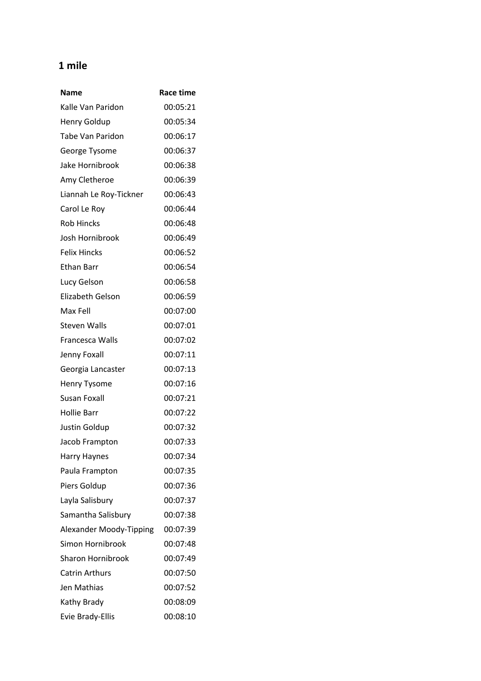## **1 mile**

| Name                     | <b>Race time</b> |
|--------------------------|------------------|
| Kalle Van Paridon        | 00:05:21         |
| <b>Henry Goldup</b>      | 00:05:34         |
| Tabe Van Paridon         | 00:06:17         |
| George Tysome            | 00:06:37         |
| Jake Hornibrook          | 00:06:38         |
| Amy Cletheroe            | 00:06:39         |
| Liannah Le Roy-Tickner   | 00:06:43         |
| Carol Le Roy             | 00:06:44         |
| <b>Rob Hincks</b>        | 00:06:48         |
| Josh Hornibrook          | 00:06:49         |
| <b>Felix Hincks</b>      | 00:06:52         |
| <b>Ethan Barr</b>        | 00:06:54         |
| Lucy Gelson              | 00:06:58         |
| Elizabeth Gelson         | 00:06:59         |
| Max Fell                 | 00:07:00         |
| <b>Steven Walls</b>      | 00:07:01         |
| Francesca Walls          | 00:07:02         |
| Jenny Foxall             | 00:07:11         |
| Georgia Lancaster        | 00:07:13         |
| <b>Henry Tysome</b>      | 00:07:16         |
| Susan Foxall             | 00:07:21         |
| <b>Hollie Barr</b>       | 00:07:22         |
| Justin Goldup            | 00:07:32         |
| Jacob Frampton           | 00:07:33         |
| <b>Harry Haynes</b>      | 00:07:34         |
| Paula Frampton           | 00:07:35         |
| Piers Goldup             | 00:07:36         |
| Layla Salisbury          | 00:07:37         |
| Samantha Salisbury       | 00:07:38         |
| Alexander Moody-Tipping  | 00:07:39         |
| Simon Hornibrook         | 00:07:48         |
| <b>Sharon Hornibrook</b> | 00:07:49         |
| <b>Catrin Arthurs</b>    | 00:07:50         |
| Jen Mathias              | 00:07:52         |
| Kathy Brady              | 00:08:09         |
| Evie Brady-Ellis         | 00:08:10         |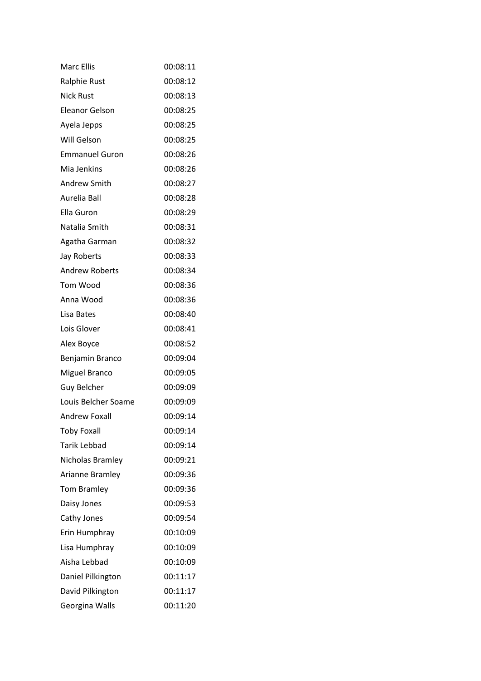| <b>Marc Ellis</b>     | 00:08:11 |
|-----------------------|----------|
| <b>Ralphie Rust</b>   | 00:08:12 |
| <b>Nick Rust</b>      | 00:08:13 |
| <b>Eleanor Gelson</b> | 00:08:25 |
| Ayela Jepps           | 00:08:25 |
| Will Gelson           | 00:08:25 |
| <b>Emmanuel Guron</b> | 00:08:26 |
| Mia Jenkins           | 00:08:26 |
| <b>Andrew Smith</b>   | 00:08:27 |
| Aurelia Ball          | 00:08:28 |
| Ella Guron            | 00:08:29 |
| Natalia Smith         | 00:08:31 |
| Agatha Garman         | 00:08:32 |
| Jay Roberts           | 00:08:33 |
| <b>Andrew Roberts</b> | 00:08:34 |
| Tom Wood              | 00:08:36 |
| Anna Wood             | 00:08:36 |
| Lisa Bates            | 00:08:40 |
| Lois Glover           | 00:08:41 |
| Alex Boyce            | 00:08:52 |
| Benjamin Branco       | 00:09:04 |
| <b>Miguel Branco</b>  | 00:09:05 |
| Guy Belcher           | 00:09:09 |
| Louis Belcher Soame   | 00:09:09 |
| <b>Andrew Foxall</b>  | 00:09:14 |
| <b>Toby Foxall</b>    | 00:09:14 |
| <b>Tarik Lebbad</b>   | 00:09:14 |
| Nicholas Bramley      | 00:09:21 |
| Arianne Bramley       | 00:09:36 |
| <b>Tom Bramley</b>    | 00:09:36 |
| Daisy Jones           | 00:09:53 |
| Cathy Jones           | 00:09:54 |
| Erin Humphray         | 00:10:09 |
| Lisa Humphray         | 00:10:09 |
| Aisha Lebbad          | 00:10:09 |
| Daniel Pilkington     | 00:11:17 |
| David Pilkington      | 00:11:17 |
| Georgina Walls        | 00:11:20 |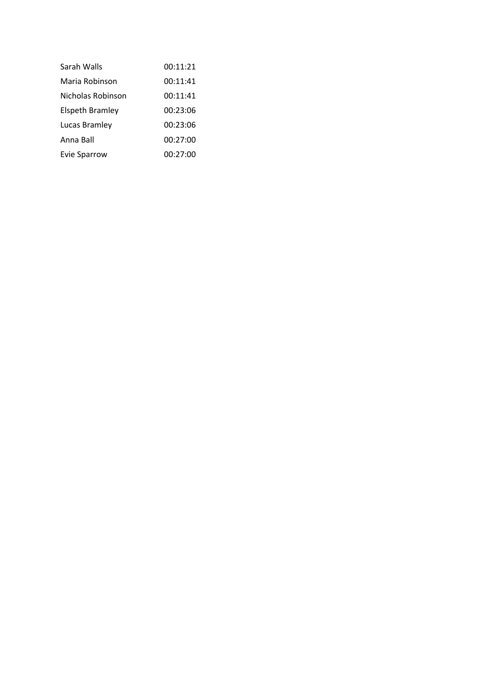| Sarah Walls            | 00:11:21 |
|------------------------|----------|
| Maria Robinson         | 00:11:41 |
| Nicholas Robinson      | 00:11:41 |
| <b>Elspeth Bramley</b> | 00:23:06 |
| Lucas Bramley          | 00:23:06 |
| Anna Ball              | 00:27:00 |
| Evie Sparrow           | 00:27:00 |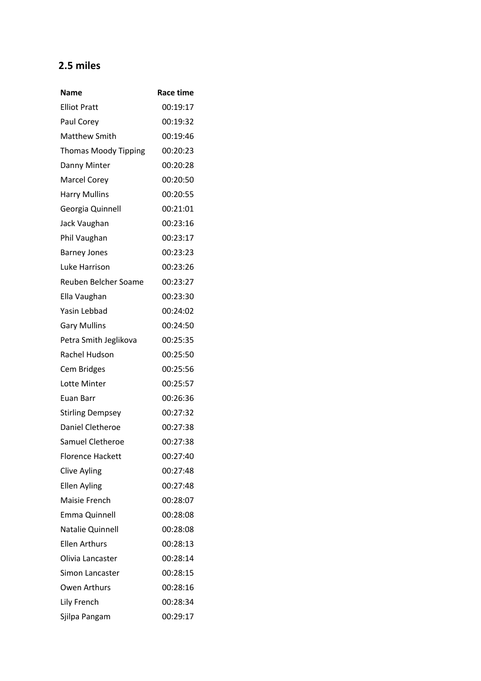## **2.5 miles**

| Name                        | <b>Race time</b> |
|-----------------------------|------------------|
| <b>Elliot Pratt</b>         | 00:19:17         |
| Paul Corey                  | 00:19:32         |
| <b>Matthew Smith</b>        | 00:19:46         |
| <b>Thomas Moody Tipping</b> | 00:20:23         |
| Danny Minter                | 00:20:28         |
| <b>Marcel Corey</b>         | 00:20:50         |
| <b>Harry Mullins</b>        | 00:20:55         |
| Georgia Quinnell            | 00:21:01         |
| Jack Vaughan                | 00:23:16         |
| Phil Vaughan                | 00:23:17         |
| <b>Barney Jones</b>         | 00:23:23         |
| Luke Harrison               | 00:23:26         |
| Reuben Belcher Soame        | 00:23:27         |
| Ella Vaughan                | 00:23:30         |
| Yasin Lebbad                | 00:24:02         |
| <b>Gary Mullins</b>         | 00:24:50         |
| Petra Smith Jeglikova       | 00:25:35         |
| Rachel Hudson               | 00:25:50         |
| <b>Cem Bridges</b>          | 00:25:56         |
| Lotte Minter                | 00:25:57         |
| Euan Barr                   | 00:26:36         |
| <b>Stirling Dempsey</b>     | 00:27:32         |
| Daniel Cletheroe            | 00:27:38         |
| Samuel Cletheroe            | 00:27:38         |
| <b>Florence Hackett</b>     | 00:27:40         |
| <b>Clive Ayling</b>         | 00:27:48         |
| <b>Ellen Ayling</b>         | 00:27:48         |
| <b>Maisie French</b>        | 00:28:07         |
| <b>Emma Quinnell</b>        | 00:28:08         |
| <b>Natalie Quinnell</b>     | 00:28:08         |
| <b>Ellen Arthurs</b>        | 00:28:13         |
| Olivia Lancaster            | 00:28:14         |
| Simon Lancaster             | 00:28:15         |
| Owen Arthurs                | 00:28:16         |
| Lily French                 | 00:28:34         |
| Sjilpa Pangam               | 00:29:17         |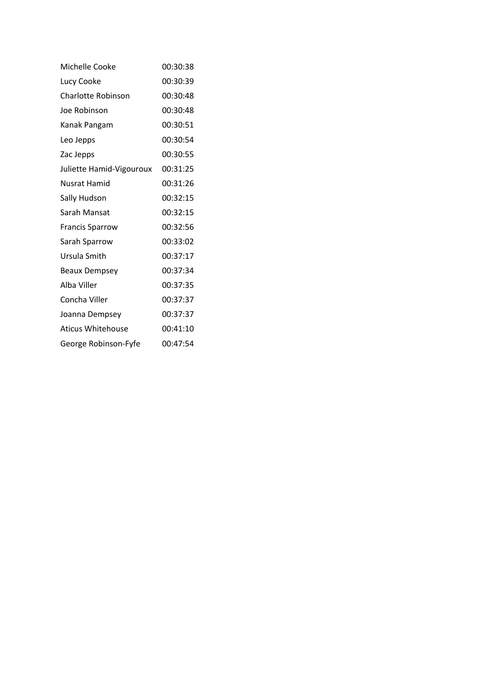| Michelle Cooke           | 00:30:38 |
|--------------------------|----------|
| Lucy Cooke               | 00:30:39 |
| Charlotte Robinson       | 00:30:48 |
| Joe Robinson             | 00:30:48 |
| Kanak Pangam             | 00:30:51 |
| Leo Jepps                | 00:30:54 |
| Zac Jepps                | 00:30:55 |
| Juliette Hamid-Vigouroux | 00:31:25 |
| Nusrat Hamid             | 00:31:26 |
| Sally Hudson             | 00:32:15 |
| Sarah Mansat             | 00:32:15 |
| <b>Francis Sparrow</b>   | 00:32:56 |
| Sarah Sparrow            | 00:33:02 |
| Ursula Smith             | 00:37:17 |
| <b>Beaux Dempsey</b>     | 00:37:34 |
| Alba Viller              | 00:37:35 |
| Concha Viller            | 00:37:37 |
| Joanna Dempsey           | 00:37:37 |
| Aticus Whitehouse        | 00:41:10 |
| George Robinson-Fyfe     | 00:47:54 |